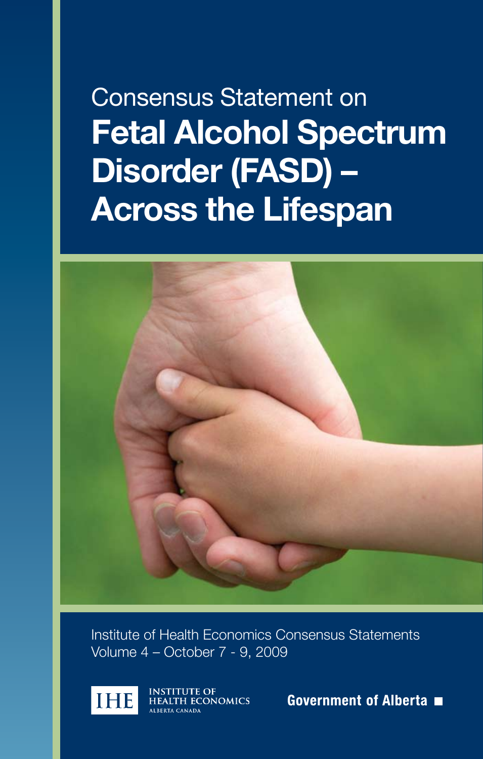# Consensus Statement on **Fetal Alcohol Spectrum Disorder (FASD) – Across the Lifespan**



Institute of Health Economics Consensus Statements Volume 4 – October 7 - 9, 2009



**INSTITUTE OF HEALTH ECONOMICS ALBERTA CANADA** 

Government of Alberta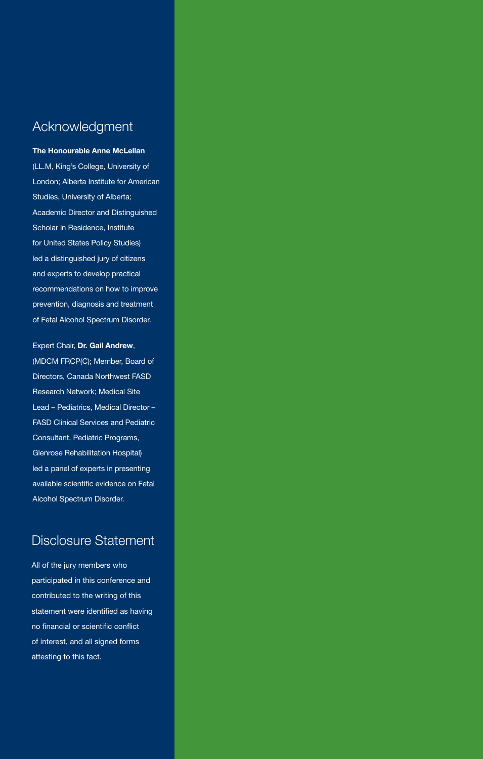### Acknowledgment

**The Honourable Anne McLellan** (LL.M, King's College, University of London; Alberta Institute for American Studies, University of Alberta; Academic Director and Distinguished Scholar in Residence, Institute for United States Policy Studies) led a distinguished jury of citizens and experts to develop practical recommendations on how to improve prevention, diagnosis and treatment of Fetal Alcohol Spectrum Disorder.

Expert Chair, **Dr. Gail Andrew**, (MDCM FRCP(C); Member, Board of Directors, Canada Northwest FASD Research Network; Medical Site Lead – Pediatrics, Medical Director – FASD Clinical Services and Pediatric Consultant, Pediatric Programs, Glenrose Rehabilitation Hospital) led a panel of experts in presenting available scientific evidence on Fetal Alcohol Spectrum Disorder.

### Disclosure Statement

All of the jury members who participated in this conference and contributed to the writing of this statement were identified as having no financial or scientific conflict of interest, and all signed forms attesting to this fact.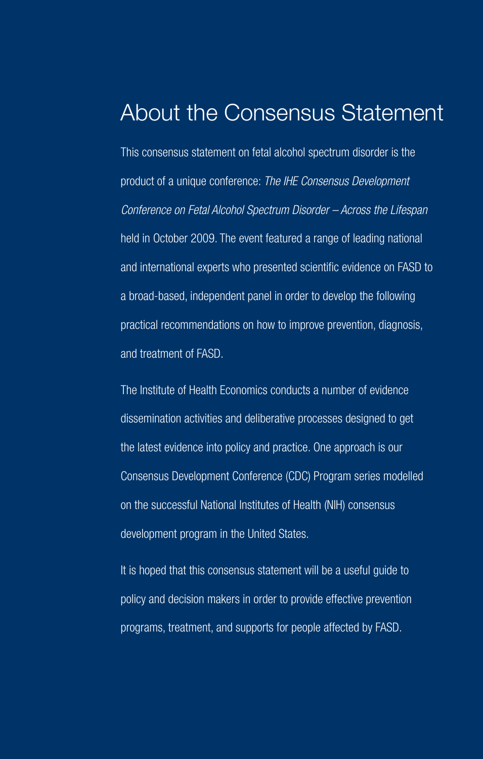## About the Consensus Statement

This consensus statement on fetal alcohol spectrum disorder is the product of a unique conference: *The IHE Consensus Development Conference on Fetal Alcohol Spectrum Disorder – Across the Lifespan* held in October 2009. The event featured a range of leading national and international experts who presented scientific evidence on FASD to a broad-based, independent panel in order to develop the following practical recommendations on how to improve prevention, diagnosis, and treatment of FASD.

The Institute of Health Economics conducts a number of evidence dissemination activities and deliberative processes designed to get the latest evidence into policy and practice. One approach is our Consensus Development Conference (CDC) Program series modelled on the successful National Institutes of Health (NIH) consensus development program in the United States.

It is hoped that this consensus statement will be a useful guide to policy and decision makers in order to provide effective prevention programs, treatment, and supports for people affected by FASD.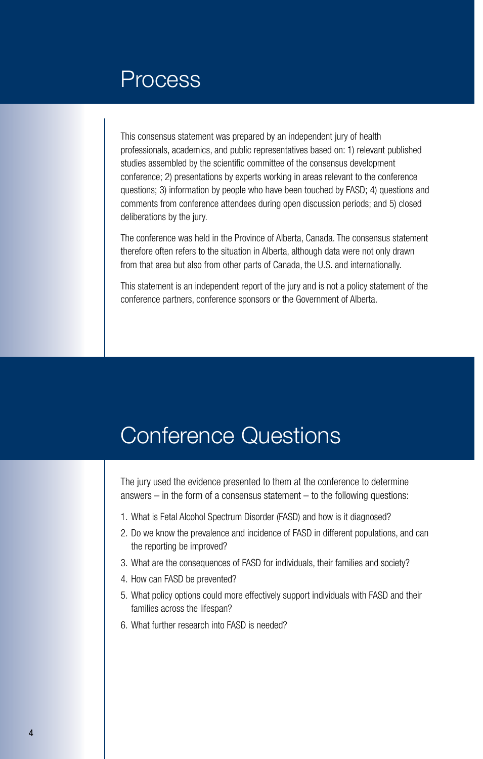## **Process**

This consensus statement was prepared by an independent jury of health professionals, academics, and public representatives based on: 1) relevant published studies assembled by the scientific committee of the consensus development conference; 2) presentations by experts working in areas relevant to the conference questions; 3) information by people who have been touched by FASD; 4) questions and comments from conference attendees during open discussion periods; and 5) closed deliberations by the jury.

The conference was held in the Province of Alberta, Canada. The consensus statement therefore often refers to the situation in Alberta, although data were not only drawn from that area but also from other parts of Canada, the U.S. and internationally.

This statement is an independent report of the jury and is not a policy statement of the conference partners, conference sponsors or the Government of Alberta.

## Conference Questions

The jury used the evidence presented to them at the conference to determine answers – in the form of a consensus statement – to the following questions:

- 1. What is Fetal Alcohol Spectrum Disorder (FASD) and how is it diagnosed?
- 2. Do we know the prevalence and incidence of FASD in different populations, and can the reporting be improved?
- 3. What are the consequences of FASD for individuals, their families and society?
- 4. How can FASD be prevented?
- 5. What policy options could more effectively support individuals with FASD and their families across the lifespan?
- 6. What further research into FASD is needed?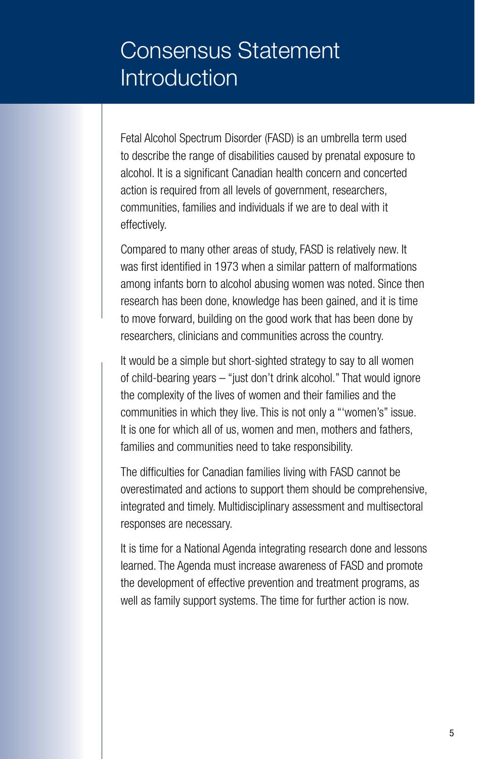## Consensus Statement **Introduction**

Fetal Alcohol Spectrum Disorder (FASD) is an umbrella term used to describe the range of disabilities caused by prenatal exposure to alcohol. It is a significant Canadian health concern and concerted action is required from all levels of government, researchers, communities, families and individuals if we are to deal with it effectively.

Compared to many other areas of study, FASD is relatively new. It was first identified in 1973 when a similar pattern of malformations among infants born to alcohol abusing women was noted. Since then research has been done, knowledge has been gained, and it is time to move forward, building on the good work that has been done by researchers, clinicians and communities across the country.

It would be a simple but short-sighted strategy to say to all women of child-bearing years – "just don't drink alcohol." That would ignore the complexity of the lives of women and their families and the communities in which they live. This is not only a "'women's" issue. It is one for which all of us, women and men, mothers and fathers, families and communities need to take responsibility.

The difficulties for Canadian families living with FASD cannot be overestimated and actions to support them should be comprehensive, integrated and timely. Multidisciplinary assessment and multisectoral responses are necessary.

It is time for a National Agenda integrating research done and lessons learned. The Agenda must increase awareness of FASD and promote the development of effective prevention and treatment programs, as well as family support systems. The time for further action is now.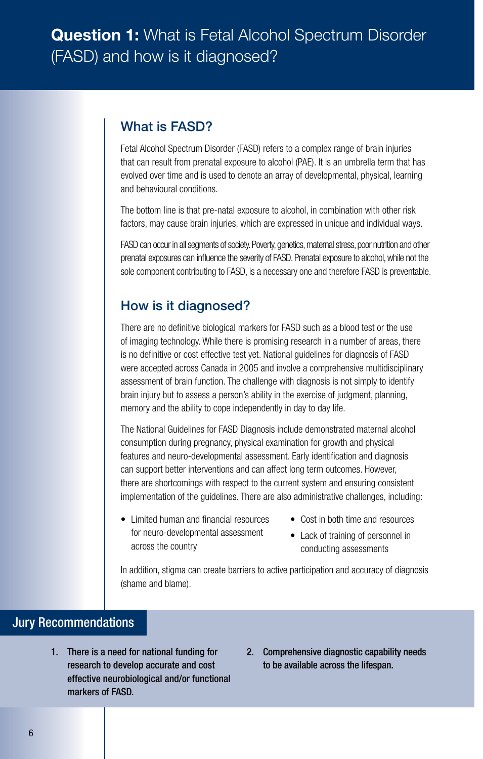### What is FASD?

Fetal Alcohol Spectrum Disorder (FASD) refers to a complex range of brain injuries that can result from prenatal exposure to alcohol (PAE). It is an umbrella term that has evolved over time and is used to denote an array of developmental, physical, learning and behavioural conditions.

The bottom line is that pre-natal exposure to alcohol, in combination with other risk factors, may cause brain injuries, which are expressed in unique and individual ways.

FASD can occur in all segments of society. Poverty, genetics, maternal stress, poor nutrition and other prenatal exposures can influence the severity of FASD. Prenatal exposure to alcohol, while not the sole component contributing to FASD, is a necessary one and therefore FASD is preventable.

## How is it diagnosed?

There are no definitive biological markers for FASD such as a blood test or the use of imaging technology. While there is promising research in a number of areas, there is no definitive or cost effective test yet. National guidelines for diagnosis of FASD were accepted across Canada in 2005 and involve a comprehensive multidisciplinary assessment of brain function. The challenge with diagnosis is not simply to identify brain injury but to assess a person's ability in the exercise of judgment, planning, memory and the ability to cope independently in day to day life.

The National Guidelines for FASD Diagnosis include demonstrated maternal alcohol consumption during pregnancy, physical examination for growth and physical features and neuro-developmental assessment. Early identification and diagnosis can support better interventions and can affect long term outcomes. However, there are shortcomings with respect to the current system and ensuring consistent implementation of the guidelines. There are also administrative challenges, including:

- Limited human and financial resources for neuro-developmental assessment across the country
- Cost in both time and resources
- Lack of training of personnel in conducting assessments

In addition, stigma can create barriers to active participation and accuracy of diagnosis (shame and blame).

- 1. There is a need for national funding for research to develop accurate and cost effective neurobiological and/or functional markers of FASD.
- 2. Comprehensive diagnostic capability needs to be available across the lifespan.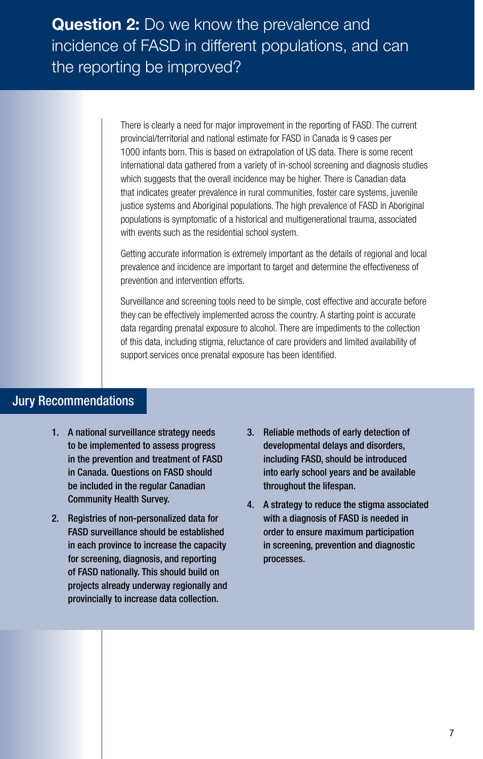**Question 2:** Do we know the prevalence and incidence of FASD in different populations, and can the reporting be improved?

> There is clearly a need for major improvement in the reporting of FASD. The current provincial/territorial and national estimate for FASD in Canada is 9 cases per 1000 infants born. This is based on extrapolation of US data. There is some recent international data gathered from a variety of in-school screening and diagnosis studies which suggests that the overall incidence may be higher. There is Canadian data that indicates greater prevalence in rural communities, foster care systems, juvenile justice systems and Aboriginal populations. The high prevalence of FASD in Aboriginal populations is symptomatic of a historical and multigenerational trauma, associated with events such as the residential school system.

> Getting accurate information is extremely important as the details of regional and local prevalence and incidence are important to target and determine the effectiveness of prevention and intervention efforts.

> Surveillance and screening tools need to be simple, cost effective and accurate before they can be effectively implemented across the country. A starting point is accurate data regarding prenatal exposure to alcohol. There are impediments to the collection of this data, including stigma, reluctance of care providers and limited availability of support services once prenatal exposure has been identified.

- 1. A national surveillance strategy needs to be implemented to assess progress in the prevention and treatment of FASD in Canada. Questions on FASD should be included in the regular Canadian Community Health Survey.
- 2. Registries of non-personalized data for FASD surveillance should be established in each province to increase the capacity for screening, diagnosis, and reporting of FASD nationally. This should build on projects already underway regionally and provincially to increase data collection.
- 3. Reliable methods of early detection of developmental delays and disorders, including FASD, should be introduced into early school years and be available throughout the lifespan.
- 4. A strategy to reduce the stigma associated with a diagnosis of FASD is needed in order to ensure maximum participation in screening, prevention and diagnostic processes.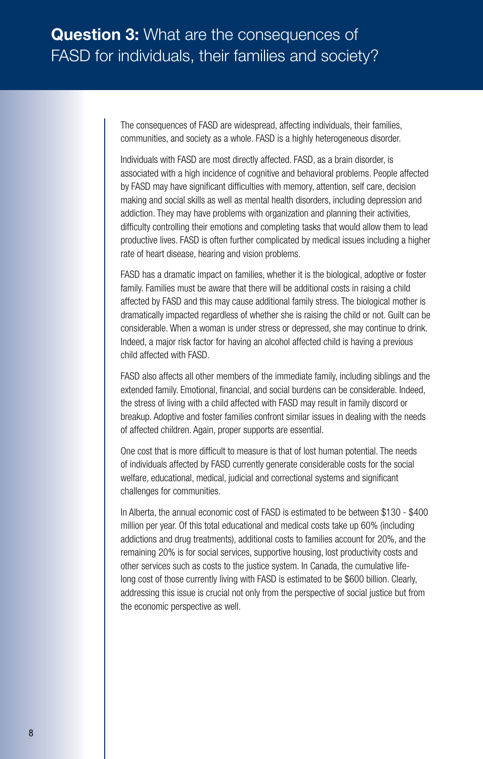The consequences of FASD are widespread, affecting individuals, their families, communities, and society as a whole. FASD is a highly heterogeneous disorder.

Individuals with FASD are most directly affected. FASD, as a brain disorder, is associated with a high incidence of cognitive and behavioral problems. People affected by FASD may have significant difficulties with memory, attention, self care, decision making and social skills as well as mental health disorders, including depression and addiction. They may have problems with organization and planning their activities, difficulty controlling their emotions and completing tasks that would allow them to lead productive lives. FASD is often further complicated by medical issues including a higher rate of heart disease, hearing and vision problems.

FASD has a dramatic impact on families, whether it is the biological, adoptive or foster family. Families must be aware that there will be additional costs in raising a child affected by FASD and this may cause additional family stress. The biological mother is dramatically impacted regardless of whether she is raising the child or not. Guilt can be considerable. When a woman is under stress or depressed, she may continue to drink. Indeed, a major risk factor for having an alcohol affected child is having a previous child affected with FASD.

FASD also affects all other members of the immediate family, including siblings and the extended family. Emotional, financial, and social burdens can be considerable. Indeed, the stress of living with a child affected with FASD may result in family discord or breakup. Adoptive and foster families confront similar issues in dealing with the needs of affected children. Again, proper supports are essential.

One cost that is more difficult to measure is that of lost human potential. The needs of individuals affected by FASD currently generate considerable costs for the social welfare, educational, medical, judicial and correctional systems and significant challenges for communities.

In Alberta, the annual economic cost of FASD is estimated to be between \$130 - \$400 million per year. Of this total educational and medical costs take up 60% (including addictions and drug treatments), additional costs to families account for 20%, and the remaining 20% is for social services, supportive housing, lost productivity costs and other services such as costs to the justice system. In Canada, the cumulative lifelong cost of those currently living with FASD is estimated to be \$600 billion. Clearly, addressing this issue is crucial not only from the perspective of social justice but from the economic perspective as well.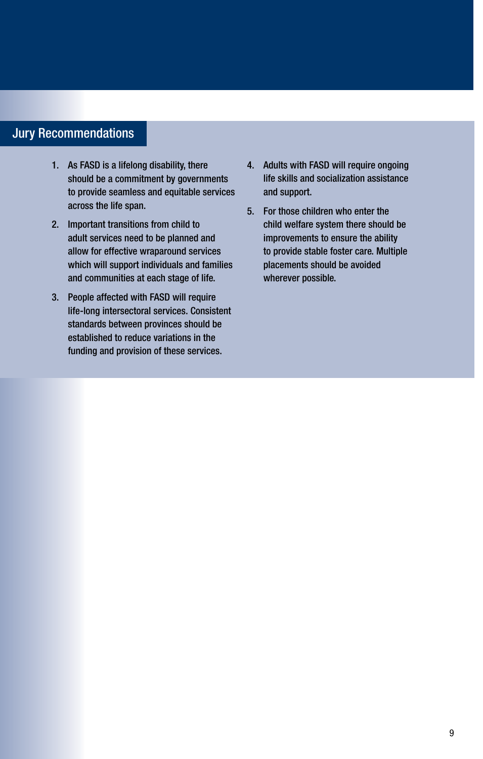- 1. As FASD is a lifelong disability, there should be a commitment by governments to provide seamless and equitable services across the life span.
- 2. Important transitions from child to adult services need to be planned and allow for effective wraparound services which will support individuals and families and communities at each stage of life.
- 3. People affected with FASD will require life-long intersectoral services. Consistent standards between provinces should be established to reduce variations in the funding and provision of these services.
- 4. Adults with FASD will require ongoing life skills and socialization assistance and support.
- 5. For those children who enter the child welfare system there should be improvements to ensure the ability to provide stable foster care. Multiple placements should be avoided wherever possible.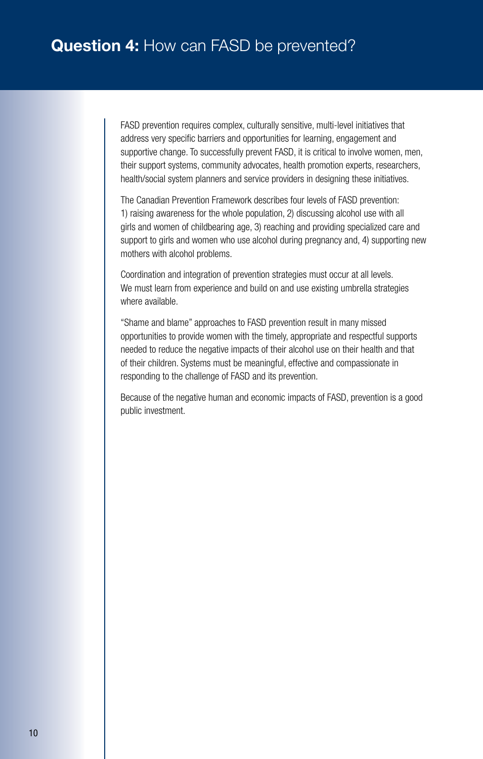FASD prevention requires complex, culturally sensitive, multi-level initiatives that address very specific barriers and opportunities for learning, engagement and supportive change. To successfully prevent FASD, it is critical to involve women, men, their support systems, community advocates, health promotion experts, researchers, health/social system planners and service providers in designing these initiatives.

The Canadian Prevention Framework describes four levels of FASD prevention: 1) raising awareness for the whole population, 2) discussing alcohol use with all girls and women of childbearing age, 3) reaching and providing specialized care and support to girls and women who use alcohol during pregnancy and, 4) supporting new mothers with alcohol problems.

Coordination and integration of prevention strategies must occur at all levels. We must learn from experience and build on and use existing umbrella strategies where available.

"Shame and blame" approaches to FASD prevention result in many missed opportunities to provide women with the timely, appropriate and respectful supports needed to reduce the negative impacts of their alcohol use on their health and that of their children. Systems must be meaningful, effective and compassionate in responding to the challenge of FASD and its prevention.

Because of the negative human and economic impacts of FASD, prevention is a good public investment.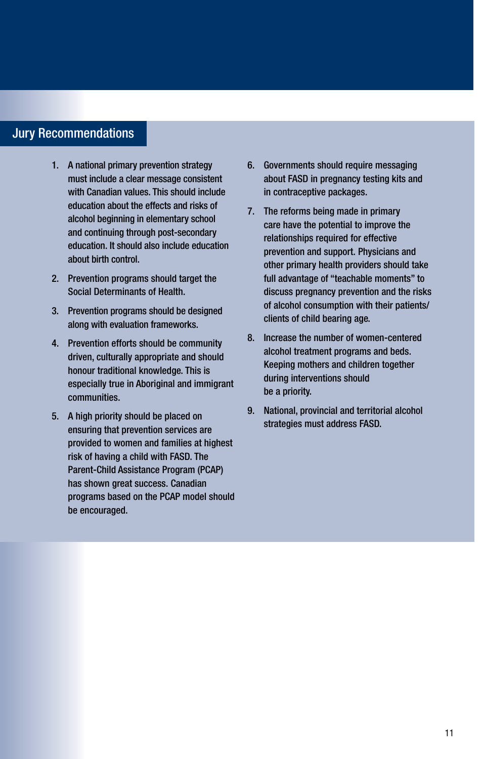- 1. A national primary prevention strategy must include a clear message consistent with Canadian values. This should include education about the effects and risks of alcohol beginning in elementary school and continuing through post-secondary education. It should also include education about birth control.
- 2. Prevention programs should target the Social Determinants of Health.
- 3. Prevention programs should be designed along with evaluation frameworks.
- 4. Prevention efforts should be community driven, culturally appropriate and should honour traditional knowledge. This is especially true in Aboriginal and immigrant communities.
- 5. A high priority should be placed on ensuring that prevention services are provided to women and families at highest risk of having a child with FASD. The Parent-Child Assistance Program (PCAP) has shown great success. Canadian programs based on the PCAP model should be encouraged.
- 6. Governments should require messaging about FASD in pregnancy testing kits and in contraceptive packages.
- 7. The reforms being made in primary care have the potential to improve the relationships required for effective prevention and support. Physicians and other primary health providers should take full advantage of "teachable moments" to discuss pregnancy prevention and the risks of alcohol consumption with their patients/ clients of child bearing age.
- 8. Increase the number of women-centered alcohol treatment programs and beds. Keeping mothers and children together during interventions should be a priority.
- 9. National, provincial and territorial alcohol strategies must address FASD.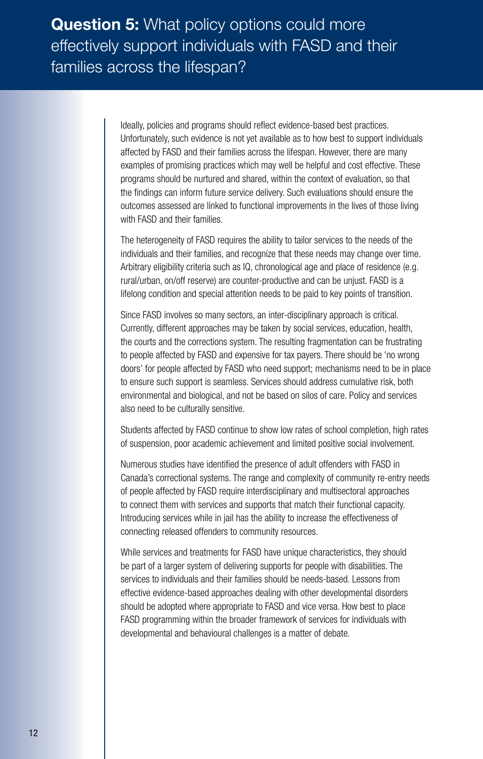Ideally, policies and programs should reflect evidence-based best practices. Unfortunately, such evidence is not yet available as to how best to support individuals affected by FASD and their families across the lifespan. However, there are many examples of promising practices which may well be helpful and cost effective. These programs should be nurtured and shared, within the context of evaluation, so that the findings can inform future service delivery. Such evaluations should ensure the outcomes assessed are linked to functional improvements in the lives of those living with FASD and their families.

The heterogeneity of FASD requires the ability to tailor services to the needs of the individuals and their families, and recognize that these needs may change over time. Arbitrary eligibility criteria such as IQ, chronological age and place of residence (e.g. rural/urban, on/off reserve) are counter-productive and can be unjust. FASD is a lifelong condition and special attention needs to be paid to key points of transition.

Since FASD involves so many sectors, an inter-disciplinary approach is critical. Currently, different approaches may be taken by social services, education, health, the courts and the corrections system. The resulting fragmentation can be frustrating to people affected by FASD and expensive for tax payers. There should be 'no wrong doors' for people affected by FASD who need support; mechanisms need to be in place to ensure such support is seamless. Services should address cumulative risk, both environmental and biological, and not be based on silos of care. Policy and services also need to be culturally sensitive.

Students affected by FASD continue to show low rates of school completion, high rates of suspension, poor academic achievement and limited positive social involvement.

Numerous studies have identified the presence of adult offenders with FASD in Canada's correctional systems. The range and complexity of community re-entry needs of people affected by FASD require interdisciplinary and multisectoral approaches to connect them with services and supports that match their functional capacity. Introducing services while in jail has the ability to increase the effectiveness of connecting released offenders to community resources.

While services and treatments for FASD have unique characteristics, they should be part of a larger system of delivering supports for people with disabilities. The services to individuals and their families should be needs-based. Lessons from effective evidence-based approaches dealing with other developmental disorders should be adopted where appropriate to FASD and vice versa. How best to place FASD programming within the broader framework of services for individuals with developmental and behavioural challenges is a matter of debate.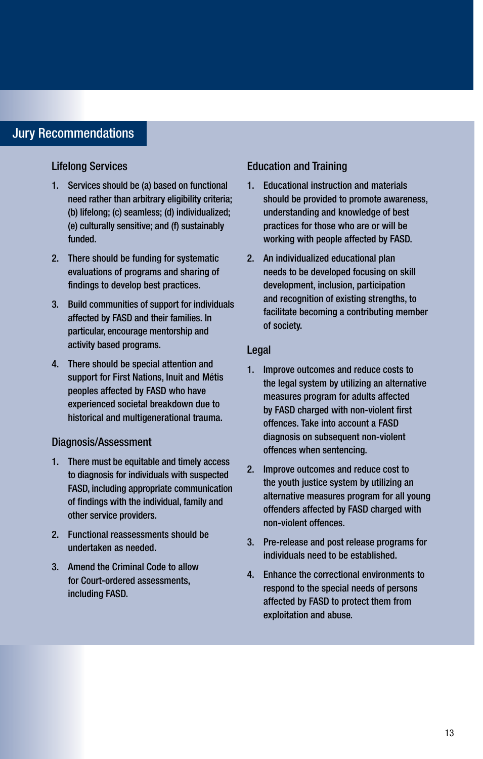## Jury Recommendations

### Lifelong Services

- 1. Services should be (a) based on functional need rather than arbitrary eligibility criteria; (b) lifelong; (c) seamless; (d) individualized; (e) culturally sensitive; and (f) sustainably funded.
- 2. There should be funding for systematic evaluations of programs and sharing of findings to develop best practices.
- 3. Build communities of support for individuals affected by FASD and their families. In particular, encourage mentorship and activity based programs.
- 4. There should be special attention and support for First Nations, Inuit and Métis peoples affected by FASD who have experienced societal breakdown due to historical and multigenerational trauma.

#### Diagnosis/Assessment

- 1. There must be equitable and timely access to diagnosis for individuals with suspected FASD, including appropriate communication of findings with the individual, family and other service providers.
- 2. Functional reassessments should be undertaken as needed.
- 3. Amend the Criminal Code to allow for Court-ordered assessments, including FASD.

### Education and Training

- 1. Educational instruction and materials should be provided to promote awareness, understanding and knowledge of best practices for those who are or will be working with people affected by FASD.
- 2. An individualized educational plan needs to be developed focusing on skill development, inclusion, participation and recognition of existing strengths, to facilitate becoming a contributing member of society.

#### Legal

- 1. Improve outcomes and reduce costs to the legal system by utilizing an alternative measures program for adults affected by FASD charged with non-violent first offences. Take into account a FASD diagnosis on subsequent non-violent offences when sentencing.
- 2. Improve outcomes and reduce cost to the youth justice system by utilizing an alternative measures program for all young offenders affected by FASD charged with non-violent offences.
- 3. Pre-release and post release programs for individuals need to be established.
- 4. Enhance the correctional environments to respond to the special needs of persons affected by FASD to protect them from exploitation and abuse.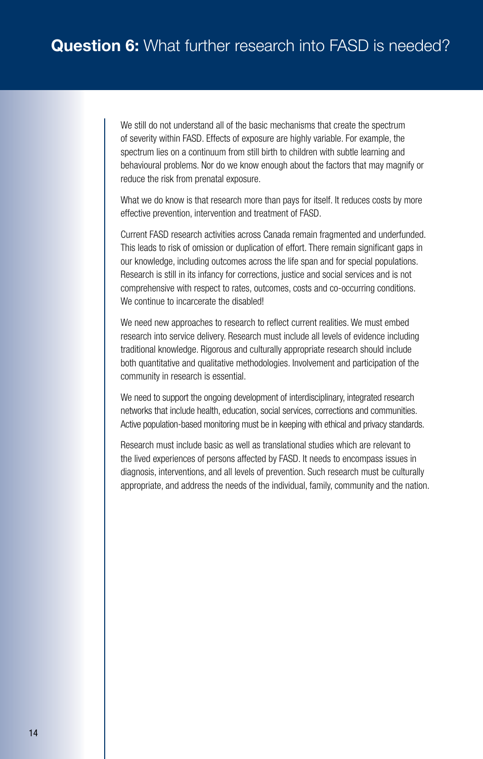We still do not understand all of the basic mechanisms that create the spectrum of severity within FASD. Effects of exposure are highly variable. For example, the spectrum lies on a continuum from still birth to children with subtle learning and behavioural problems. Nor do we know enough about the factors that may magnify or reduce the risk from prenatal exposure.

What we do know is that research more than pays for itself. It reduces costs by more effective prevention, intervention and treatment of FASD.

Current FASD research activities across Canada remain fragmented and underfunded. This leads to risk of omission or duplication of effort. There remain significant gaps in our knowledge, including outcomes across the life span and for special populations. Research is still in its infancy for corrections, justice and social services and is not comprehensive with respect to rates, outcomes, costs and co-occurring conditions. We continue to incarcerate the disabled!

We need new approaches to research to reflect current realities. We must embed research into service delivery. Research must include all levels of evidence including traditional knowledge. Rigorous and culturally appropriate research should include both quantitative and qualitative methodologies. Involvement and participation of the community in research is essential.

We need to support the ongoing development of interdisciplinary, integrated research networks that include health, education, social services, corrections and communities. Active population-based monitoring must be in keeping with ethical and privacy standards.

Research must include basic as well as translational studies which are relevant to the lived experiences of persons affected by FASD. It needs to encompass issues in diagnosis, interventions, and all levels of prevention. Such research must be culturally appropriate, and address the needs of the individual, family, community and the nation.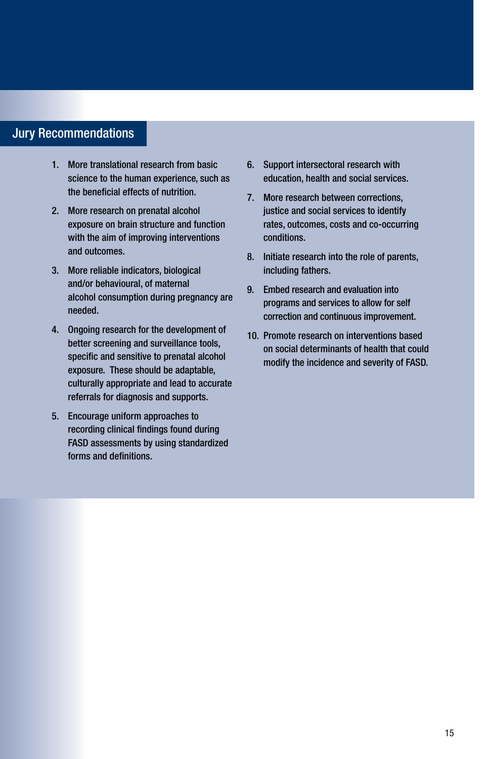- 1. More translational research from basic science to the human experience, such as the beneficial effects of nutrition.
- 2. More research on prenatal alcohol exposure on brain structure and function with the aim of improving interventions and outcomes.
- 3. More reliable indicators, biological and/or behavioural, of maternal alcohol consumption during pregnancy are needed.
- 4. Ongoing research for the development of better screening and surveillance tools, specific and sensitive to prenatal alcohol exposure. These should be adaptable, culturally appropriate and lead to accurate referrals for diagnosis and supports.
- 5. Encourage uniform approaches to recording clinical findings found during FASD assessments by using standardized forms and definitions.
- 6. Support intersectoral research with education, health and social services.
- 7. More research between corrections, justice and social services to identify rates, outcomes, costs and co-occurring conditions.
- 8. Initiate research into the role of parents, including fathers.
- 9. Embed research and evaluation into programs and services to allow for self correction and continuous improvement.
- 10. Promote research on interventions based on social determinants of health that could modify the incidence and severity of FASD.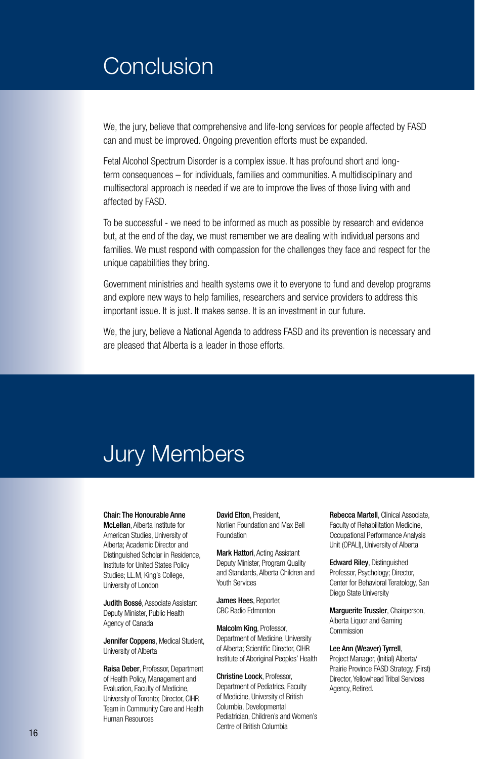## **Conclusion**

We, the jury, believe that comprehensive and life-long services for people affected by FASD can and must be improved. Ongoing prevention efforts must be expanded.

Fetal Alcohol Spectrum Disorder is a complex issue. It has profound short and longterm consequences – for individuals, families and communities. A multidisciplinary and multisectoral approach is needed if we are to improve the lives of those living with and affected by FASD.

To be successful - we need to be informed as much as possible by research and evidence but, at the end of the day, we must remember we are dealing with individual persons and families. We must respond with compassion for the challenges they face and respect for the unique capabilities they bring.

Government ministries and health systems owe it to everyone to fund and develop programs and explore new ways to help families, researchers and service providers to address this important issue. It is just. It makes sense. It is an investment in our future.

We, the jury, believe a National Agenda to address FASD and its prevention is necessary and are pleased that Alberta is a leader in those efforts.

## Jury Members

#### Chair: The Honourable Anne

McLellan, Alberta Institute for American Studies, University of Alberta; Academic Director and Distinguished Scholar in Residence, Institute for United States Policy Studies; LL.M, King's College, University of London

Judith Bossé, Associate Assistant Deputy Minister, Public Health Agency of Canada

Jennifer Coppens, Medical Student, University of Alberta

Raisa Deber, Professor, Department of Health Policy, Management and Evaluation, Faculty of Medicine, University of Toronto; Director, CIHR Team in Community Care and Health Human Resources

David Elton, President, Norlien Foundation and Max Bell Foundation

Mark Hattori, Acting Assistant Deputy Minister, Program Quality and Standards, Alberta Children and Youth Services

James Hees, Reporter, CBC Radio Edmonton

Malcolm King, Professor, Department of Medicine, University of Alberta; Scientific Director, CIHR Institute of Aboriginal Peoples' Health

Christine Loock, Professor, Department of Pediatrics, Faculty of Medicine, University of British Columbia, Developmental Pediatrician, Children's and Women's Centre of British Columbia

Rebecca Martell, Clinical Associate, Faculty of Rehabilitation Medicine, Occupational Performance Analysis Unit (OPALI), University of Alberta

Edward Riley, Distinguished Professor, Psychology; Director, Center for Behavioral Teratology, San Diego State University

Marguerite Trussler, Chairperson, Alberta Liquor and Gaming Commission

#### Lee Ann (Weaver) Tyrrell,

Project Manager, (Initial) Alberta/ Prairie Province FASD Strategy, (First) Director, Yellowhead Tribal Services Agency, Retired.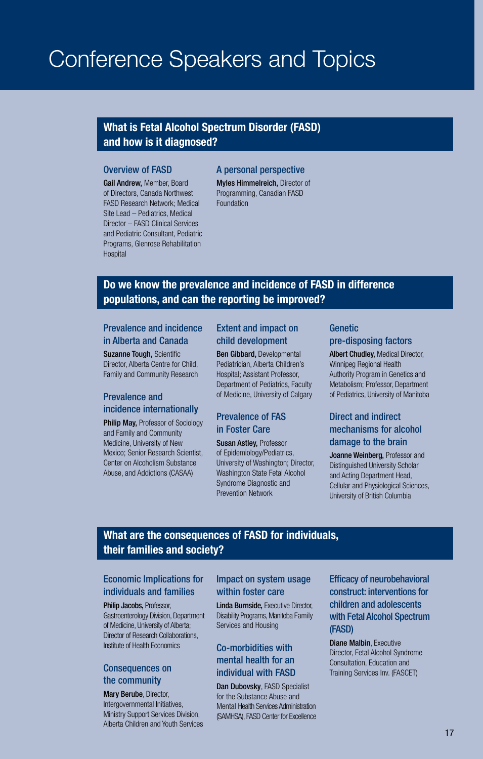## Conference Speakers and Topics

### **What is Fetal Alcohol Spectrum Disorder (FASD) and how is it diagnosed?**

#### Overview of FASD

Gail Andrew, Member, Board of Directors, Canada Northwest FASD Research Network; Medical Site Lead – Pediatrics, Medical Director – FASD Clinical Services and Pediatric Consultant, Pediatric Programs, Glenrose Rehabilitation **Hospital** 

#### A personal perspective

Myles Himmelreich, Director of Programming, Canadian FASD Foundation

### **Do we know the prevalence and incidence of FASD in difference populations, and can the reporting be improved?**

#### Prevalence and incidence in Alberta and Canada

Suzanne Tough, Scientific Director, Alberta Centre for Child, Family and Community Research

#### Prevalence and incidence internationally

Philip May, Professor of Sociology and Family and Community Medicine, University of New Mexico; Senior Research Scientist, Center on Alcoholism Substance Abuse, and Addictions (CASAA)

#### Extent and impact on child development

Ben Gibbard, Developmental Pediatrician, Alberta Children's Hospital; Assistant Professor, Department of Pediatrics, Faculty of Medicine, University of Calgary

#### Prevalence of FAS in Foster Care

**Susan Astley, Professor** of Epidemiology/Pediatrics, University of Washington; Director, Washington State Fetal Alcohol Syndrome Diagnostic and Prevention Network

#### Genetic pre-disposing factors

**Albert Chudley, Medical Director,** Winnipeg Regional Health Authority Program in Genetics and Metabolism; Professor, Department of Pediatrics, University of Manitoba

#### Direct and indirect mechanisms for alcohol damage to the brain

Joanne Weinberg, Professor and Distinguished University Scholar and Acting Department Head, Cellular and Physiological Sciences, University of British Columbia

### **What are the consequences of FASD for individuals, their families and society?**

#### Economic Implications for individuals and families

**Philip Jacobs, Professor,** 

Gastroenterology Division, Department of Medicine, University of Alberta; Director of Research Collaborations, Institute of Health Economics

#### Consequences on the community

Mary Berube, Director, Intergovernmental Initiatives, Ministry Support Services Division, Alberta Children and Youth Services

#### Impact on system usage within foster care

Linda Burnside, Executive Director, Disability Programs, Manitoba Family Services and Housing

#### Co-morbidities with mental health for an individual with FASD

Dan Dubovsky, FASD Specialist for the Substance Abuse and Mental Health Services Administration (SAMHSA), FASD Center for Excellence Efficacy of neurobehavioral construct: interventions for children and adolescents with Fetal Alcohol Spectrum (FASD)

Diane Malbin, Executive Director, Fetal Alcohol Syndrome Consultation, Education and Training Services Inv. (FASCET)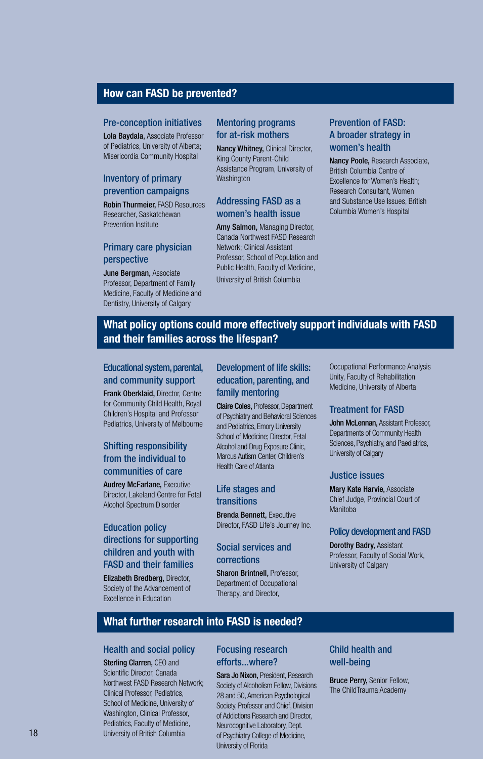#### **How can FASD be prevented?**

#### Pre-conception initiatives

Lola Baydala, Associate Professor of Pediatrics, University of Alberta; Misericordia Community Hospital

#### Inventory of primary prevention campaigns

Robin Thurmeier, FASD Resources Researcher, Saskatchewan Prevention Institute

#### Primary care physician perspective

June Bergman, Associate Professor, Department of Family Medicine, Faculty of Medicine and Dentistry, University of Calgary

#### Mentoring programs for at-risk mothers

Nancy Whitney, Clinical Director, King County Parent-Child Assistance Program, University of **Washington** 

#### Addressing FASD as a women's health issue

Amy Salmon, Managing Director, Canada Northwest FASD Research Network; Clinical Assistant Professor, School of Population and Public Health, Faculty of Medicine, University of British Columbia

#### Prevention of FASD: A broader strategy in women's health

Nancy Poole, Research Associate, British Columbia Centre of Excellence for Women's Health; Research Consultant, Women and Substance Use Issues, British Columbia Women's Hospital

### **What policy options could more effectively support individuals with FASD and their families across the lifespan?**

#### Educational system, parental, and community support

Frank Oberklaid, Director, Centre for Community Child Health, Royal Children's Hospital and Professor Pediatrics, University of Melbourne

#### Shifting responsibility from the individual to communities of care

Audrey McFarlane, Executive Director, Lakeland Centre for Fetal Alcohol Spectrum Disorder

#### Education policy directions for supporting children and youth with FASD and their families

Elizabeth Bredberg, Director, Society of the Advancement of Excellence in Education

#### Development of life skills: education, parenting, and family mentoring

Claire Coles, Professor, Department of Psychiatry and Behavioral Sciences and Pediatrics, Emory University School of Medicine; Director, Fetal Alcohol and Drug Exposure Clinic, Marcus Autism Center, Children's Health Care of Atlanta

#### Life stages and transitions

Brenda Bennett, Executive Director, FASD Life's Journey Inc.

#### Social services and corrections

Sharon Brintnell, Professor, Department of Occupational Therapy, and Director,

Occupational Performance Analysis Unity, Faculty of Rehabilitation Medicine, University of Alberta

#### Treatment for FASD

John McLennan, Assistant Professor, Departments of Community Health Sciences, Psychiatry, and Paediatrics, University of Calgary

#### Justice issues

Mary Kate Harvie, Associate Chief Judge, Provincial Court of Manitoba

#### Policy development and FASD

Dorothy Badry, Assistant Professor, Faculty of Social Work, University of Calgary

#### **What further research into FASD is needed?**

#### Health and social policy

Sterling Clarren, CEO and Scientific Director, Canada Northwest FASD Research Network; Clinical Professor, Pediatrics, School of Medicine, University of Washington, Clinical Professor, Pediatrics, Faculty of Medicine, University of British Columbia

#### Focusing research efforts...where?

Sara Jo Nixon, President, Research Society of Alcoholism Fellow, Divisions 28 and 50, American Psychological Society, Professor and Chief, Division of Addictions Research and Director, Neurocognitive Laboratory, Dept. of Psychiatry College of Medicine, University of Florida

#### Child health and well-being

**Bruce Perry, Senior Fellow,** The ChildTrauma Academy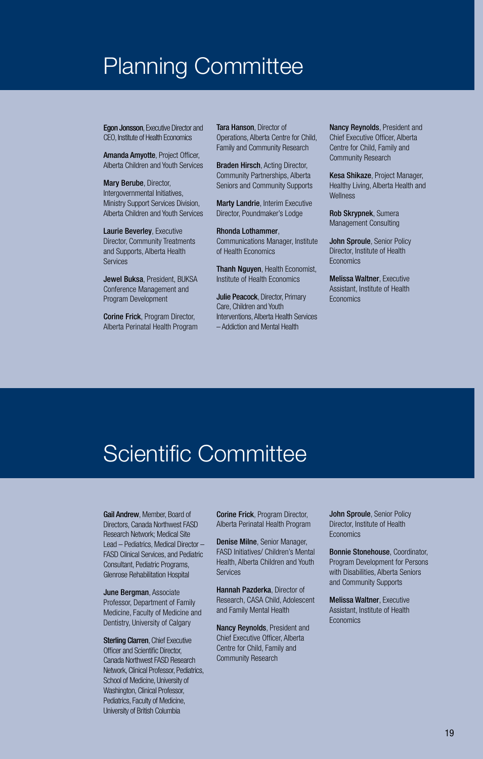## Planning Committee

Egon Jonsson, Executive Director and CEO, Institute of Health Economics

Amanda Amyotte, Project Officer, Alberta Children and Youth Services

Mary Berube, Director, Intergovernmental Initiatives, Ministry Support Services Division, Alberta Children and Youth Services

Laurie Beverley, Executive Director, Community Treatments and Supports, Alberta Health Services

Jewel Buksa, President, BUKSA Conference Management and Program Development

Corine Frick, Program Director, Alberta Perinatal Health Program Tara Hanson, Director of Operations, Alberta Centre for Child, Family and Community Research

Braden Hirsch, Acting Director, Community Partnerships, Alberta Seniors and Community Supports

Marty Landrie, Interim Executive Director, Poundmaker's Lodge

Rhonda Lothammer, Communications Manager, Institute of Health Economics

Thanh Nguyen, Health Economist, Institute of Health Economics

Julie Peacock, Director, Primary Care, Children and Youth Interventions, Alberta Health Services – Addiction and Mental Health

Nancy Reynolds, President and Chief Executive Officer, Alberta Centre for Child, Family and Community Research

Kesa Shikaze, Project Manager, Healthy Living, Alberta Health and **Wellness** 

Rob Skrypnek, Sumera Management Consulting

John Sproule, Senior Policy Director, Institute of Health **Economics** 

Melissa Waltner, Executive Assistant, Institute of Health **Economics** 

## Scientific Committee

Gail Andrew, Member, Board of Directors, Canada Northwest FASD Research Network; Medical Site Lead – Pediatrics, Medical Director – FASD Clinical Services, and Pediatric Consultant, Pediatric Programs, Glenrose Rehabilitation Hospital

June Bergman, Associate Professor, Department of Family Medicine, Faculty of Medicine and Dentistry, University of Calgary

Sterling Clarren, Chief Executive Officer and Scientific Director, Canada Northwest FASD Research Network, Clinical Professor, Pediatrics, School of Medicine, University of Washington, Clinical Professor, Pediatrics, Faculty of Medicine, University of British Columbia

Corine Frick, Program Director, Alberta Perinatal Health Program

Denise Milne, Senior Manager, FASD Initiatives/ Children's Mental Health, Alberta Children and Youth Services

Hannah Pazderka, Director of Research, CASA Child, Adolescent and Family Mental Health

Nancy Reynolds, President and Chief Executive Officer, Alberta Centre for Child, Family and Community Research

John Sproule, Senior Policy Director, Institute of Health **Economics** 

Bonnie Stonehouse, Coordinator, Program Development for Persons with Disabilities, Alberta Seniors and Community Supports

Melissa Waltner, Executive Assistant, Institute of Health **Economics**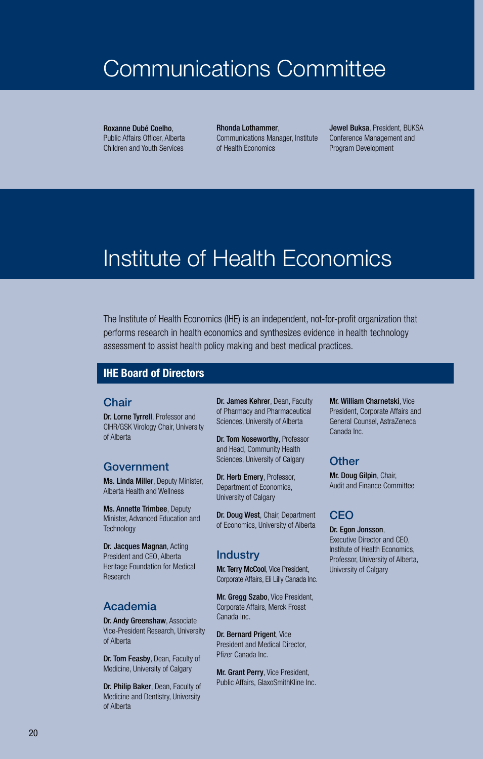## Communications Committee

Roxanne Dubé Coelho, Public Affairs Officer, Alberta Children and Youth Services

Rhonda Lothammer, Communications Manager, Institute of Health Economics

Jewel Buksa, President, BUKSA Conference Management and Program Development

## Institute of Health Economics

The Institute of Health Economics (IHE) is an independent, not-for-profit organization that performs research in health economics and synthesizes evidence in health technology assessment to assist health policy making and best medical practices.

#### **IHE Board of Directors**

#### **Chair**

Dr. Lorne Tyrrell, Professor and CIHR/GSK Virology Chair, University of Alberta

#### Government

Ms. Linda Miller, Deputy Minister, Alberta Health and Wellness

Ms. Annette Trimbee, Deputy Minister, Advanced Education and **Technology** 

Dr. Jacques Magnan, Acting President and CEO, Alberta Heritage Foundation for Medical Research

#### Academia

Dr. Andy Greenshaw, Associate Vice-President Research, University of Alberta

Dr. Tom Feasby, Dean, Faculty of Medicine, University of Calgary

Dr. Philip Baker, Dean, Faculty of Medicine and Dentistry, University of Alberta

Dr. James Kehrer, Dean, Faculty of Pharmacy and Pharmaceutical Sciences, University of Alberta

Dr. Tom Noseworthy, Professor and Head, Community Health Sciences, University of Calgary

Dr. Herb Emery, Professor, Department of Economics, University of Calgary

Dr. Doug West, Chair, Department of Economics, University of Alberta

#### Industry

Mr. Terry McCool, Vice President, Corporate Affairs, Eli Lilly Canada Inc.

Mr. Gregg Szabo, Vice President, Corporate Affairs, Merck Frosst Canada Inc.

Dr. Bernard Prigent, Vice President and Medical Director, Pfizer Canada Inc.

Mr. Grant Perry, Vice President, Public Affairs, GlaxoSmithKline Inc.

Mr. William Charnetski, Vice President, Corporate Affairs and General Counsel, AstraZeneca Canada Inc.

#### Other

Mr. Doug Gilpin, Chair, Audit and Finance Committee

#### **CEO**

Dr. Egon Jonsson, Executive Director and CEO, Institute of Health Economics, Professor, University of Alberta, University of Calgary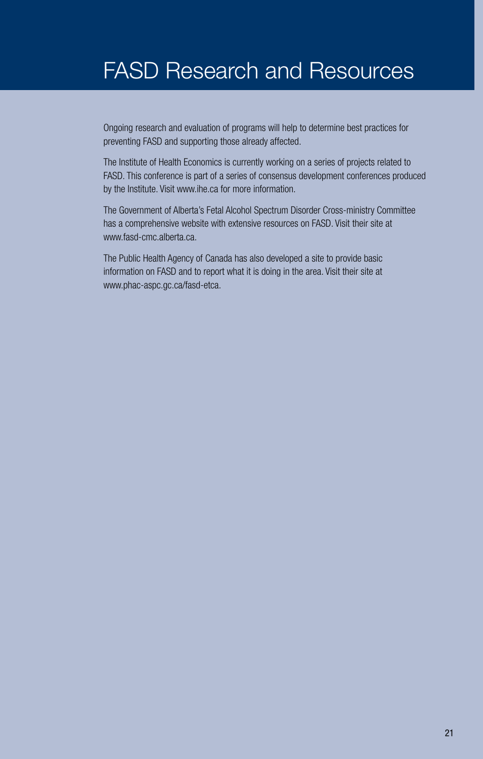## FASD Research and Resources

Ongoing research and evaluation of programs will help to determine best practices for preventing FASD and supporting those already affected.

The Institute of Health Economics is currently working on a series of projects related to FASD. This conference is part of a series of consensus development conferences produced by the Institute. Visit www.ihe.ca for more information.

The Government of Alberta's Fetal Alcohol Spectrum Disorder Cross-ministry Committee has a comprehensive website with extensive resources on FASD. Visit their site at www.fasd-cmc.alberta.ca.

The Public Health Agency of Canada has also developed a site to provide basic information on FASD and to report what it is doing in the area. Visit their site at www.phac-aspc.gc.ca/fasd-etca.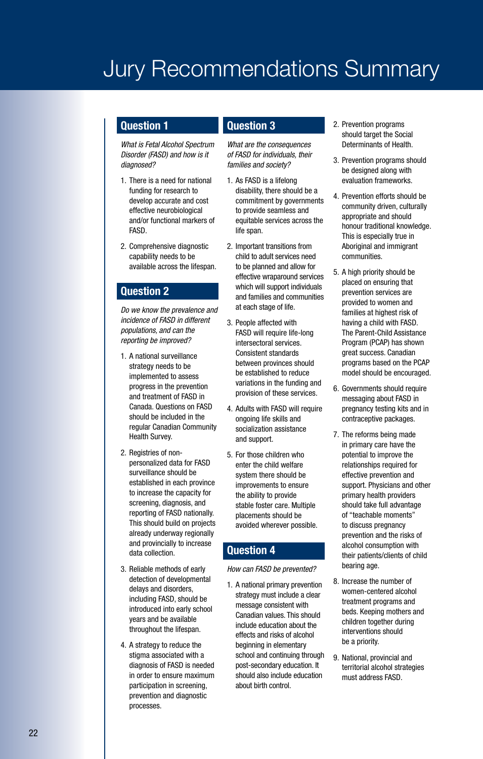## Jury Recommendations Summary

#### **Question 1**

*What is Fetal Alcohol Spectrum Disorder (FASD) and how is it diagnosed?* 

- 1. There is a need for national funding for research to develop accurate and cost effective neurobiological and/or functional markers of **FASD**
- 2. Comprehensive diagnostic capability needs to be available across the lifespan.

#### **Question 2**

*Do we know the prevalence and incidence of FASD in different populations, and can the reporting be improved?*

- 1. A national surveillance strategy needs to be implemented to assess progress in the prevention and treatment of FASD in Canada. Questions on FASD should be included in the regular Canadian Community Health Survey.
- 2. Registries of nonpersonalized data for FASD surveillance should be established in each province to increase the capacity for screening, diagnosis, and reporting of FASD nationally. This should build on projects already underway regionally and provincially to increase data collection.
- 3. Reliable methods of early detection of developmental delays and disorders, including FASD, should be introduced into early school years and be available throughout the lifespan.
- 4. A strategy to reduce the stigma associated with a diagnosis of FASD is needed in order to ensure maximum participation in screening, prevention and diagnostic processes.

### **Question 3**

*What are the consequences of FASD for individuals, their families and society?*

- 1. As FASD is a lifelong disability, there should be a commitment by governments to provide seamless and equitable services across the life span.
- 2. Important transitions from child to adult services need to be planned and allow for effective wraparound services which will support individuals and families and communities at each stage of life.
- 3. People affected with FASD will require life-long intersectoral services. Consistent standards between provinces should be established to reduce variations in the funding and provision of these services.
- 4. Adults with FASD will require ongoing life skills and socialization assistance and support.
- 5. For those children who enter the child welfare system there should be improvements to ensure the ability to provide stable foster care. Multiple placements should be avoided wherever possible.

#### **Question 4**

*How can FASD be prevented?*

1. A national primary prevention strategy must include a clear message consistent with Canadian values. This should include education about the effects and risks of alcohol beginning in elementary school and continuing through post-secondary education. It should also include education about birth control.

- 2. Prevention programs should target the Social Determinants of Health.
- 3. Prevention programs should be designed along with evaluation frameworks.
- 4. Prevention efforts should be community driven, culturally appropriate and should honour traditional knowledge. This is especially true in Aboriginal and immigrant communities.
- 5. A high priority should be placed on ensuring that prevention services are provided to women and families at highest risk of having a child with FASD. The Parent-Child Assistance Program (PCAP) has shown great success. Canadian programs based on the PCAP model should be encouraged.
- 6. Governments should require messaging about FASD in pregnancy testing kits and in contraceptive packages.
- 7. The reforms being made in primary care have the potential to improve the relationships required for effective prevention and support. Physicians and other primary health providers should take full advantage of "teachable moments" to discuss pregnancy prevention and the risks of alcohol consumption with their patients/clients of child bearing age.
- 8. Increase the number of women-centered alcohol treatment programs and beds. Keeping mothers and children together during interventions should be a priority.
- 9. National, provincial and territorial alcohol strategies must address FASD.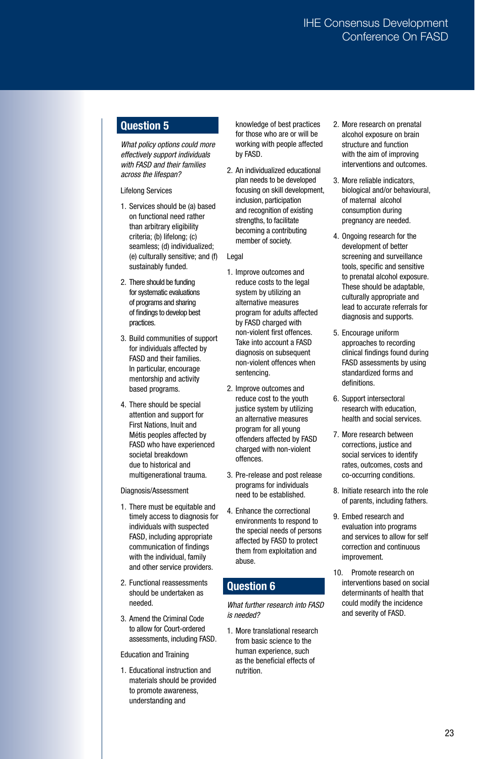### **Question 5**

*What policy options could more effectively support individuals with FASD and their families across the lifespan?*

Lifelong Services

- 1. Services should be (a) based on functional need rather than arbitrary eligibility criteria; (b) lifelong; (c) seamless; (d) individualized; (e) culturally sensitive; and (f) sustainably funded.
- 2. There should be funding for systematic evaluations of programs and sharing of findings to develop best practices.
- 3. Build communities of support for individuals affected by FASD and their families. In particular, encourage mentorship and activity based programs.
- 4. There should be special attention and support for First Nations, Inuit and Métis peoples affected by FASD who have experienced societal breakdown due to historical and multigenerational trauma.

Diagnosis/Assessment

- 1. There must be equitable and timely access to diagnosis for individuals with suspected FASD, including appropriate communication of findings with the individual, family and other service providers.
- 2. Functional reassessments should be undertaken as needed.
- 3. Amend the Criminal Code to allow for Court-ordered assessments, including FASD.

#### Education and Training

1. Educational instruction and materials should be provided to promote awareness, understanding and

knowledge of best practices for those who are or will be working with people affected by FASD.

2. An individualized educational plan needs to be developed focusing on skill development, inclusion, participation and recognition of existing strengths, to facilitate becoming a contributing member of society.

#### Legal

- 1. Improve outcomes and reduce costs to the legal system by utilizing an alternative measures program for adults affected by FASD charged with non-violent first offences. Take into account a FASD diagnosis on subsequent non-violent offences when sentencing.
- 2. Improve outcomes and reduce cost to the youth justice system by utilizing an alternative measures program for all young offenders affected by FASD charged with non-violent offences.
- 3. Pre-release and post release programs for individuals need to be established.
- 4. Enhance the correctional environments to respond to the special needs of persons affected by FASD to protect them from exploitation and abuse.

#### **Question 6**

*What further research into FASD is needed?*

1. More translational research from basic science to the human experience, such as the beneficial effects of nutrition.

- 2. More research on prenatal alcohol exposure on brain structure and function with the aim of improving interventions and outcomes.
- 3. More reliable indicators, biological and/or behavioural, of maternal alcohol consumption during pregnancy are needed.
- 4. Ongoing research for the development of better screening and surveillance tools, specific and sensitive to prenatal alcohol exposure. These should be adaptable, culturally appropriate and lead to accurate referrals for diagnosis and supports.
- 5. Encourage uniform approaches to recording clinical findings found during FASD assessments by using standardized forms and definitions.
- 6. Support intersectoral research with education, health and social services.
- 7. More research between corrections, justice and social services to identify rates, outcomes, costs and co-occurring conditions.
- 8. Initiate research into the role of parents, including fathers.
- 9. Embed research and evaluation into programs and services to allow for self correction and continuous improvement.
- 10. Promote research on interventions based on social determinants of health that could modify the incidence and severity of FASD.